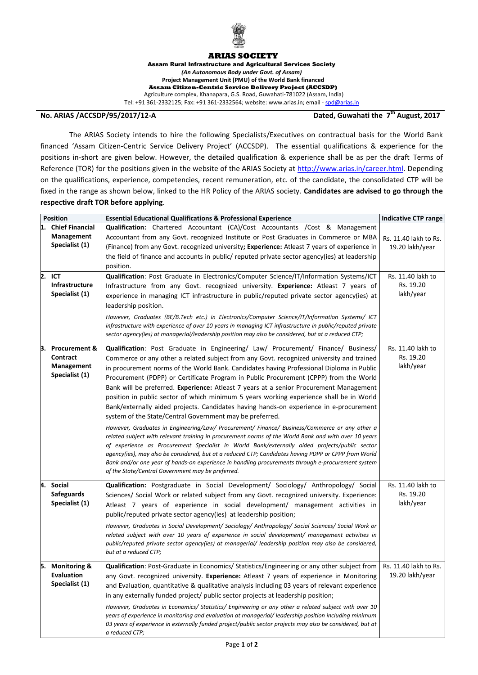

## **ARIAS SOCIETY**

Assam Rural Infrastructure and Agricultural Services Society *(An Autonomous Body under Govt. of Assam)*  **Project Management Unit (PMU) of the World Bank financed Assam Citizen-Centric Service Delivery Project (ACCSDP)** Agriculture complex, Khanapara, G.S. Road, Guwahati-781022 (Assam, India) Tel: +91 361-2332125; Fax: +91 361-2332564; website: www.arias.in; email - [spd@arias.in](mailto:spd@arias.in)

## **No. ARIAS /ACCSDP/95/2017/12-A Dated, Guwahati the 7**

## Dated, Guwahati the 7<sup>th</sup> August, 2017

The ARIAS Society intends to hire the following Specialists/Executives on contractual basis for the World Bank financed 'Assam Citizen-Centric Service Delivery Project' (ACCSDP). The essential qualifications & experience for the positions in‐short are given below. However, the detailed qualification & experience shall be as per the draft Terms of Reference (TOR) for the positions given in the website of the ARIAS Society at [http://www.arias.in/career.html.](http://www.arias.in/career.html) Depending on the qualifications, experience, competencies, recent remuneration, etc. of the candidate, the consolidated CTP will be fixed in the range as shown below, linked to the HR Policy of the ARIAS society. **Candidates are advised to go through the respective draft TOR before applying**.

| <b>Position</b> |                                                                      | <b>Essential Educational Qualifications &amp; Professional Experience</b>                                                                                                                                                                                                                                                                                                                                                                                                                                                                                                                                                                                                                                                          | Indicative CTP range                        |
|-----------------|----------------------------------------------------------------------|------------------------------------------------------------------------------------------------------------------------------------------------------------------------------------------------------------------------------------------------------------------------------------------------------------------------------------------------------------------------------------------------------------------------------------------------------------------------------------------------------------------------------------------------------------------------------------------------------------------------------------------------------------------------------------------------------------------------------------|---------------------------------------------|
|                 | 1. Chief Financial<br>Management<br>Specialist (1)                   | <b>Qualification:</b> Chartered Accountant (CA)/Cost Accountants /Cost & Management<br>Accountant from any Govt. recognized Institute or Post Graduates in Commerce or MBA<br>(Finance) from any Govt. recognized university; Experience: Atleast 7 years of experience in<br>the field of finance and accounts in public/ reputed private sector agency(ies) at leadership<br>position.                                                                                                                                                                                                                                                                                                                                           | Rs. 11.40 lakh to Rs.<br>19.20 lakh/year    |
|                 | 2. ICT<br>Infrastructure<br>Specialist (1)                           | Qualification: Post Graduate in Electronics/Computer Science/IT/Information Systems/ICT<br>Infrastructure from any Govt. recognized university. Experience: Atleast 7 years of<br>experience in managing ICT infrastructure in public/reputed private sector agency(ies) at<br>leadership position.<br>However, Graduates (BE/B.Tech etc.) in Electronics/Computer Science/IT/Information Systems/ ICT<br>infrastructure with experience of over 10 years in managing ICT infrastructure in public/reputed private<br>sector agency(ies) at managerial/leadership position may also be considered, but at a reduced CTP;                                                                                                           | Rs. 11.40 lakh to<br>Rs. 19.20<br>lakh/year |
| З.              | <b>Procurement &amp;</b><br>Contract<br>Management<br>Specialist (1) | Qualification: Post Graduate in Engineering/ Law/ Procurement/ Finance/ Business/<br>Commerce or any other a related subject from any Govt. recognized university and trained<br>in procurement norms of the World Bank. Candidates having Professional Diploma in Public<br>Procurement (PDPP) or Certificate Program in Public Procurement (CPPP) from the World<br>Bank will be preferred. Experience: Atleast 7 years at a senior Procurement Management<br>position in public sector of which minimum 5 years working experience shall be in World<br>Bank/externally aided projects. Candidates having hands-on experience in e-procurement<br>system of the State/Central Government may be preferred.                      | Rs. 11.40 lakh to<br>Rs. 19.20<br>lakh/year |
|                 |                                                                      | However, Graduates in Engineering/Law/ Procurement/ Finance/ Business/Commerce or any other a<br>related subject with relevant training in procurement norms of the World Bank and with over 10 years<br>of experience as Procurement Specialist in World Bank/externally aided projects/public sector<br>agency(ies), may also be considered, but at a reduced CTP; Candidates having PDPP or CPPP from World<br>Bank and/or one year of hands-on experience in handling procurements through e-procurement system<br>of the State/Central Government may be preferred.                                                                                                                                                           |                                             |
| 4.              | Social<br><b>Safeguards</b><br>Specialist (1)                        | Qualification: Postgraduate in Social Development/ Sociology/ Anthropology/ Social<br>Sciences/ Social Work or related subject from any Govt. recognized university. Experience:<br>Atleast 7 years of experience in social development/ management activities in<br>public/reputed private sector agency(ies) at leadership position;<br>However, Graduates in Social Development/ Sociology/ Anthropology/ Social Sciences/ Social Work or<br>related subject with over 10 years of experience in social development/ management activities in<br>public/reputed private sector agency(ies) at managerial/ leadership position may also be considered,<br>but at a reduced CTP;                                                  | Rs. 11.40 lakh to<br>Rs. 19.20<br>lakh/year |
|                 | 5. Monitoring &<br><b>Evaluation</b><br>Specialist (1)               | <b>Qualification:</b> Post-Graduate in Economics/ Statistics/Engineering or any other subject from<br>any Govt. recognized university. Experience: Atleast 7 years of experience in Monitoring<br>and Evaluation, quantitative & qualitative analysis including 03 years of relevant experience<br>in any externally funded project/ public sector projects at leadership position;<br>However, Graduates in Economics/ Statistics/ Engineering or any other a related subject with over 10<br>years of experience in monitoring and evaluation at managerial/leadership position including minimum<br>03 years of experience in externally funded project/public sector projects may also be considered, but at<br>a reduced CTP; | Rs. 11.40 lakh to Rs.<br>19.20 lakh/year    |